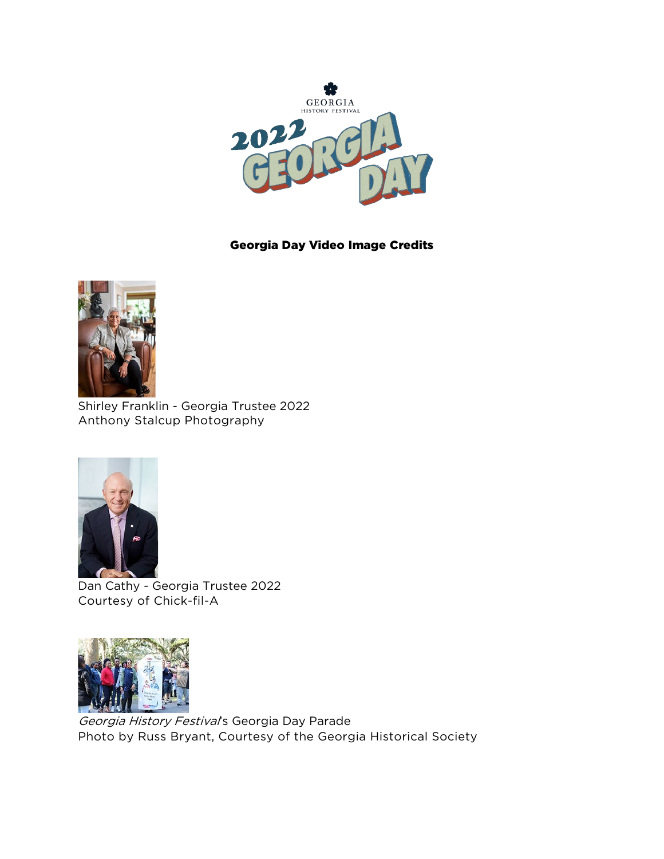

## Georgia Day Video Image Credits



Shirley Franklin - Georgia Trustee 2022 Anthony Stalcup Photography



Dan Cathy - Georgia Trustee 2022 Courtesy of Chick-fil-A



Georgia History Festival's Georgia Day Parade Photo by Russ Bryant, Courtesy of the Georgia Historical Society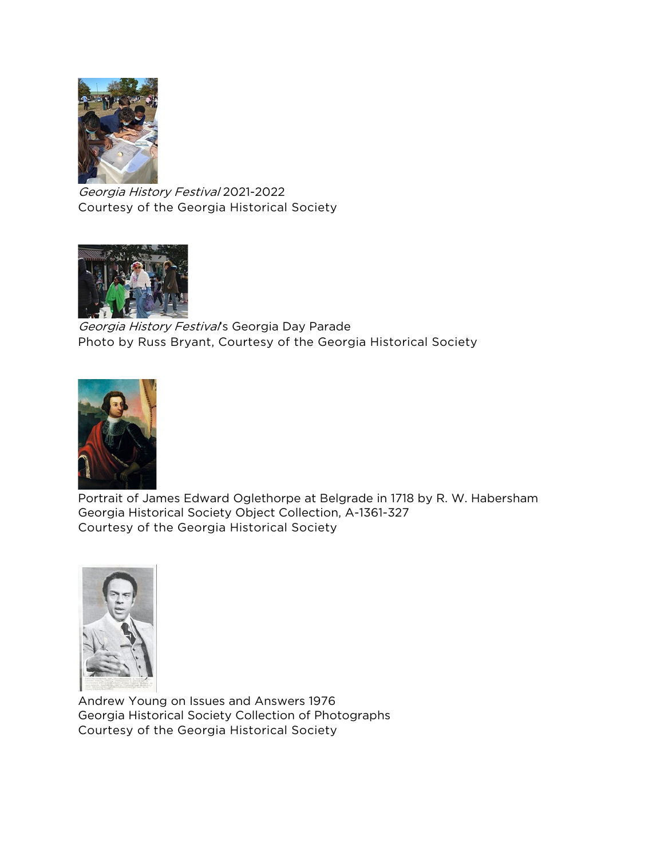

Georgia History Festival 2021-2022 Courtesy of the Georgia Historical Society



Georgia History Festival's Georgia Day Parade Photo by Russ Bryant, Courtesy of the Georgia Historical Society



Portrait of James Edward Oglethorpe at Belgrade in 1718 by R. W. Habersham Georgia Historical Society Object Collection, A-1361-327 Courtesy of the Georgia Historical Society



Andrew Young on Issues and Answers 1976 Georgia Historical Society Collection of Photographs Courtesy of the Georgia Historical Society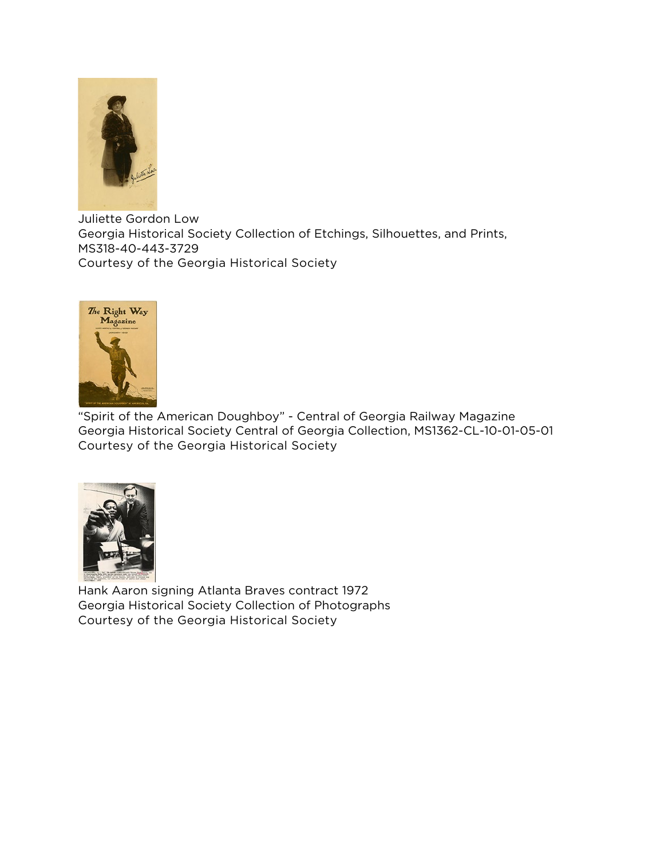

Juliette Gordon Low Georgia Historical Society Collection of Etchings, Silhouettes, and Prints, MS318-40-443-3729 Courtesy of the Georgia Historical Society



"Spirit of the American Doughboy" - Central of Georgia Railway Magazine Georgia Historical Society Central of Georgia Collection, MS1362-CL-10-01-05-01 Courtesy of the Georgia Historical Society



Hank Aaron signing Atlanta Braves contract 1972 Georgia Historical Society Collection of Photographs Courtesy of the Georgia Historical Society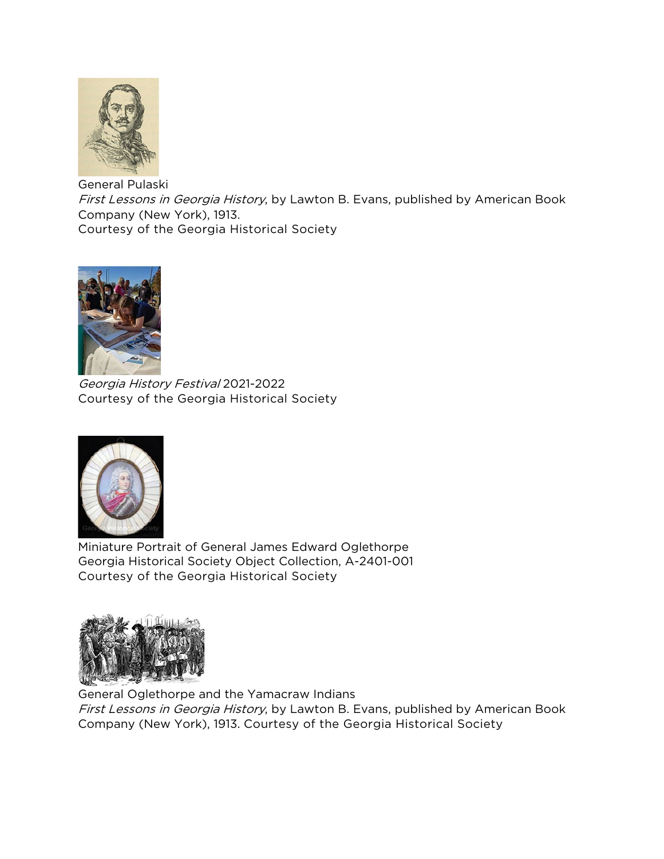

General Pulaski First Lessons in Georgia History, by Lawton B. Evans, published by American Book Company (New York), 1913. Courtesy of the Georgia Historical Society



Georgia History Festival 2021-2022 Courtesy of the Georgia Historical Society



Miniature Portrait of General James Edward Oglethorpe Georgia Historical Society Object Collection, A-2401-001 Courtesy of the Georgia Historical Society



General Oglethorpe and the Yamacraw Indians First Lessons in Georgia History, by Lawton B. Evans, published by American Book Company (New York), 1913. Courtesy of the Georgia Historical Society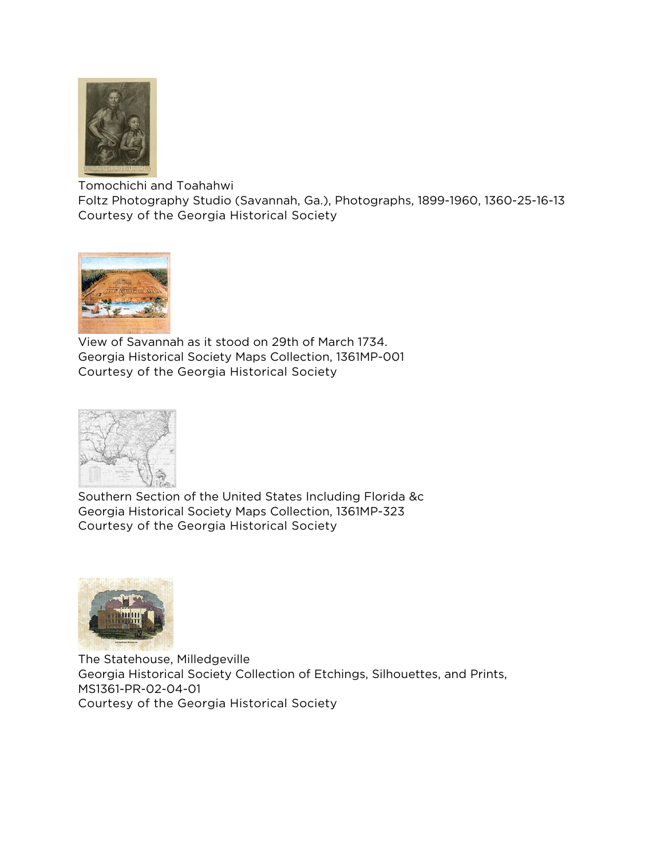

Tomochichi and Toahahwi Foltz Photography Studio (Savannah, Ga.), Photographs, 1899-1960, 1360-25-16-13 Courtesy of the Georgia Historical Society



View of Savannah as it stood on 29th of March 1734. Georgia Historical Society Maps Collection, 1361MP-001 Courtesy of the Georgia Historical Society



Southern Section of the United States Including Florida &c Georgia Historical Society Maps Collection, 1361MP-323 Courtesy of the Georgia Historical Society



The Statehouse, Milledgeville Georgia Historical Society Collection of Etchings, Silhouettes, and Prints, MS1361-PR-02-04-01 Courtesy of the Georgia Historical Society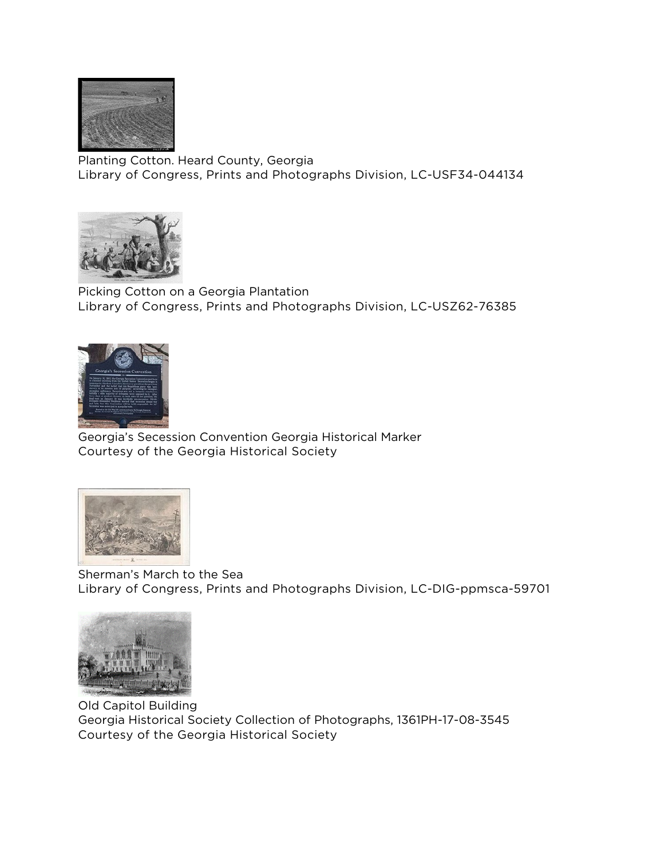

Planting Cotton. Heard County, Georgia Library of Congress, Prints and Photographs Division, LC-USF34-044134



Picking Cotton on a Georgia Plantation Library of Congress, Prints and Photographs Division, LC-USZ62-76385



Georgia's Secession Convention Georgia Historical Marker Courtesy of the Georgia Historical Society



Sherman's March to the Sea Library of Congress, Prints and Photographs Division, LC-DIG-ppmsca-59701



Old Capitol Building Georgia Historical Society Collection of Photographs, 1361PH-17-08-3545 Courtesy of the Georgia Historical Society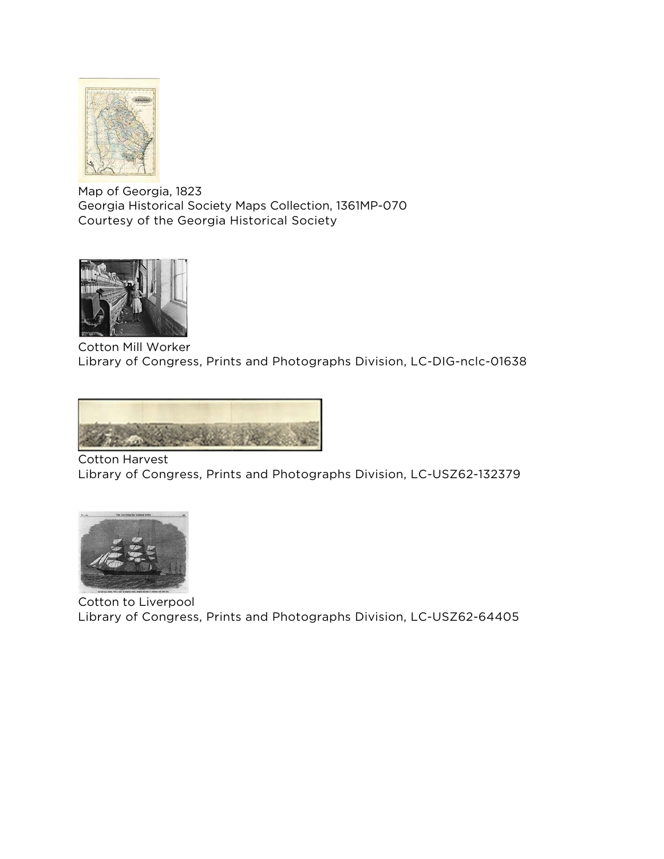

Map of Georgia, 1823 Georgia Historical Society Maps Collection, 1361MP-070 Courtesy of the Georgia Historical Society



Cotton Mill Worker Library of Congress, Prints and Photographs Division, LC-DIG-nclc-01638



Cotton Harvest Library of Congress, Prints and Photographs Division, LC-USZ62-132379



Cotton to Liverpool Library of Congress, Prints and Photographs Division, LC-USZ62-64405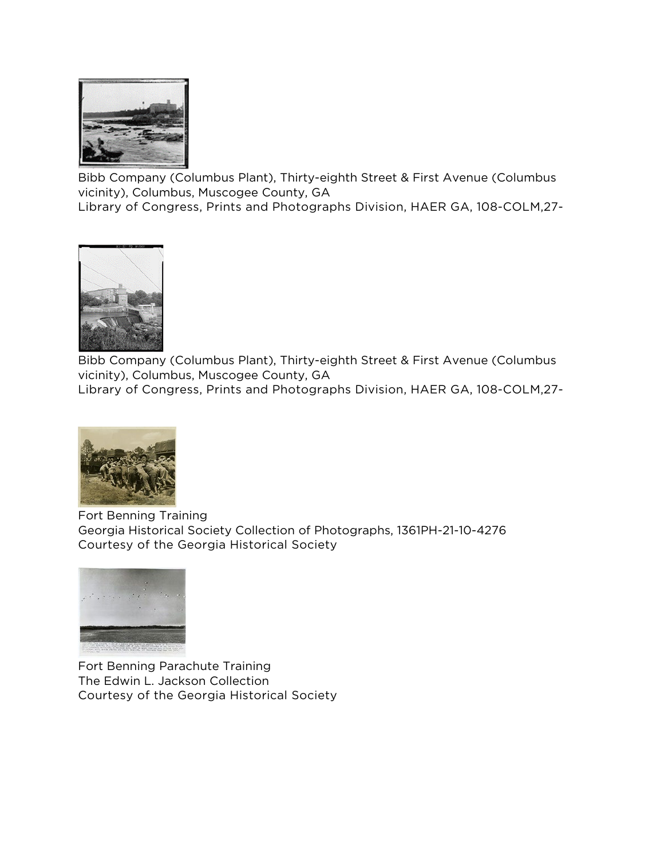

Bibb Company (Columbus Plant), Thirty-eighth Street & First Avenue (Columbus vicinity), Columbus, Muscogee County, GA Library of Congress, Prints and Photographs Division, HAER GA, 108-COLM,27-



Bibb Company (Columbus Plant), Thirty-eighth Street & First Avenue (Columbus vicinity), Columbus, Muscogee County, GA Library of Congress, Prints and Photographs Division, HAER GA, 108-COLM,27-



Fort Benning Training Georgia Historical Society Collection of Photographs, 1361PH-21-10-4276 Courtesy of the Georgia Historical Society



Fort Benning Parachute Training The Edwin L. Jackson Collection Courtesy of the Georgia Historical Society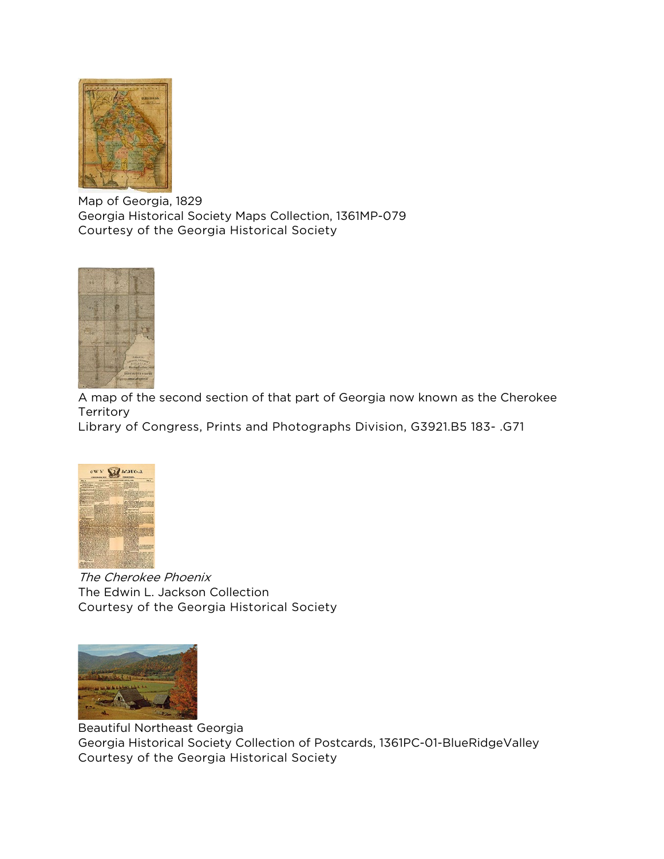

Map of Georgia, 1829 Georgia Historical Society Maps Collection, 1361MP-079 Courtesy of the Georgia Historical Society



A map of the second section of that part of Georgia now known as the Cherokee **Territory** 

Library of Congress, Prints and Photographs Division, G3921.B5 183- .G71



The Cherokee Phoenix The Edwin L. Jackson Collection Courtesy of the Georgia Historical Society



Beautiful Northeast Georgia Georgia Historical Society Collection of Postcards, 1361PC-01-BlueRidgeValley Courtesy of the Georgia Historical Society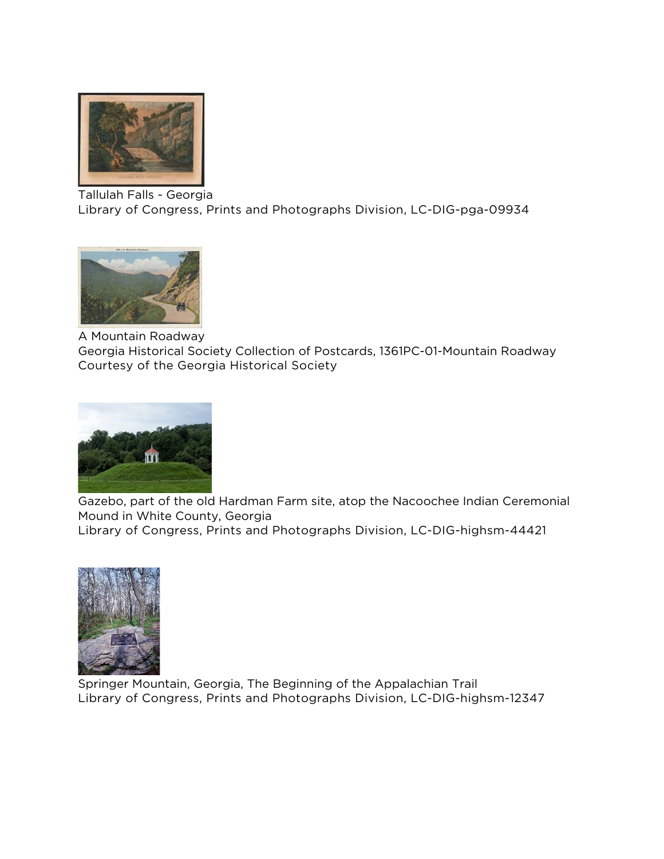

Tallulah Falls - Georgia Library of Congress, Prints and Photographs Division, LC-DIG-pga-09934



A Mountain Roadway

Georgia Historical Society Collection of Postcards, 1361PC-01-Mountain Roadway Courtesy of the Georgia Historical Society



Gazebo, part of the old Hardman Farm site, atop the Nacoochee Indian Ceremonial Mound in White County, Georgia

Library of Congress, Prints and Photographs Division, LC-DIG-highsm-44421



Springer Mountain, Georgia, The Beginning of the Appalachian Trail Library of Congress, Prints and Photographs Division, LC-DIG-highsm-12347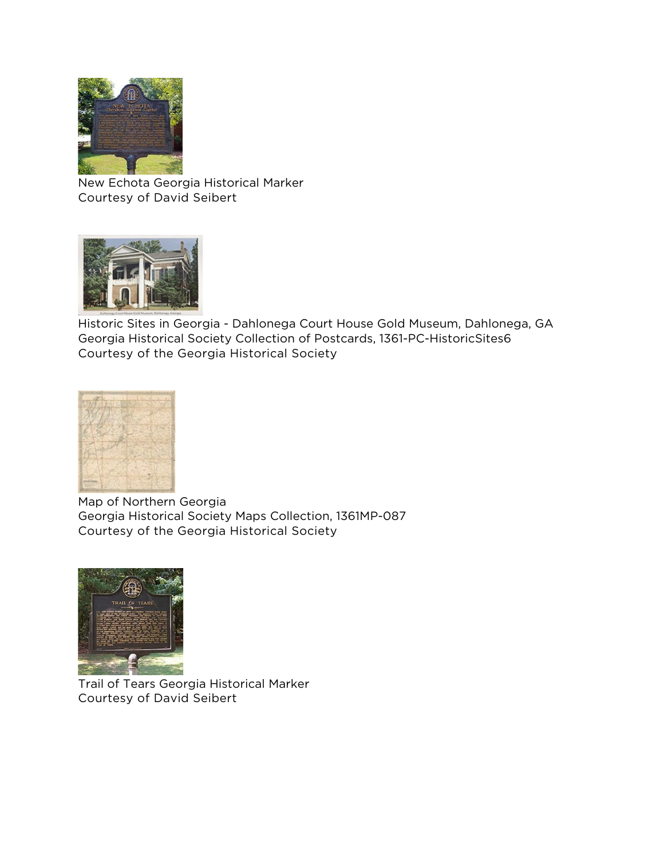

New Echota Georgia Historical Marker Courtesy of David Seibert



Historic Sites in Georgia - Dahlonega Court House Gold Museum, Dahlonega, GA Georgia Historical Society Collection of Postcards, 1361-PC-HistoricSites6 Courtesy of the Georgia Historical Society



Map of Northern Georgia Georgia Historical Society Maps Collection, 1361MP-087 Courtesy of the Georgia Historical Society



Trail of Tears Georgia Historical Marker Courtesy of David Seibert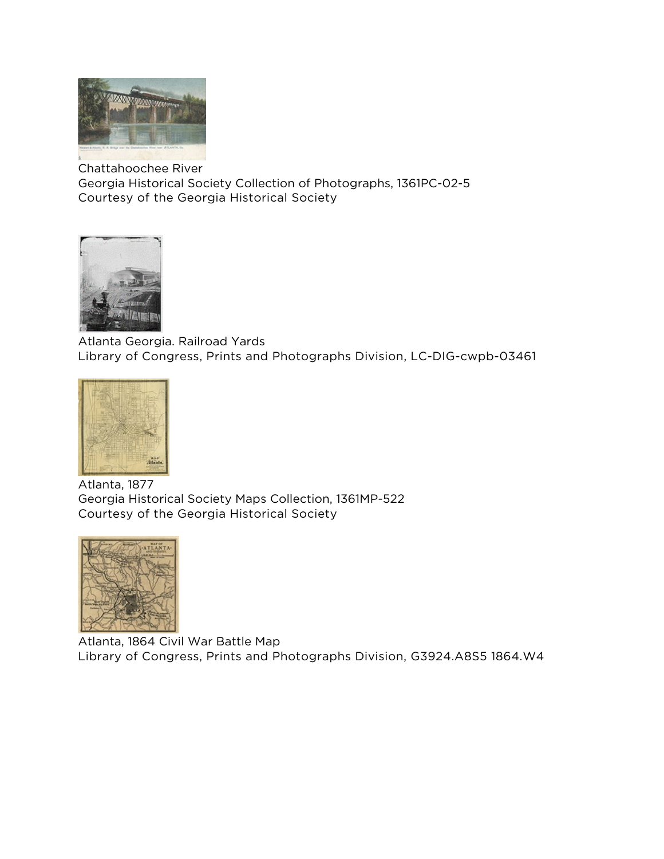

Chattahoochee River Georgia Historical Society Collection of Photographs, 1361PC-02-5 Courtesy of the Georgia Historical Society



Atlanta Georgia. Railroad Yards Library of Congress, Prints and Photographs Division, LC-DIG-cwpb-03461



Atlanta, 1877 Georgia Historical Society Maps Collection, 1361MP-522 Courtesy of the Georgia Historical Society



Atlanta, 1864 Civil War Battle Map Library of Congress, Prints and Photographs Division, G3924.A8S5 1864.W4